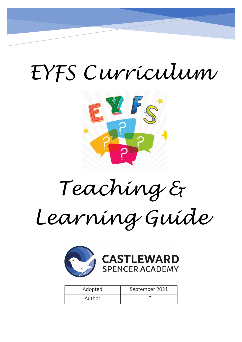# *EYFS Curriculum*



*Teaching &* 

*Learning Guide* 



| Adopted | September 2021 |
|---------|----------------|
| Author  |                |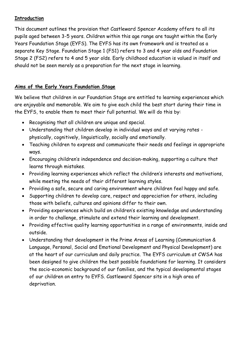#### **Introduction**

This document outlines the provision that Castleward Spencer Academy offers to all its pupils aged between 3-5 years. Children within this age range are taught within the Early Years Foundation Stage (EYFS). The EYFS has its own framework and is treated as a separate Key Stage. Foundation Stage 1 (FS1) refers to 3 and 4 year olds and Foundation Stage 2 (FS2) refers to 4 and 5 year olds. Early childhood education is valued in itself and should not be seen merely as a preparation for the next stage in learning.

# **Aims of the Early Years Foundation Stage**

We believe that children in our Foundation Stage are entitled to learning experiences which are enjoyable and memorable. We aim to give each child the best start during their time in the EYFS, to enable them to meet their full potential. We will do this by:

- Recognising that all children are unique and special.
- Understanding that children develop in individual ways and at varying rates physically, cognitively, linguistically, socially and emotionally.
- Teaching children to express and communicate their needs and feelings in appropriate ways.
- Encouraging children's independence and decision-making, supporting a culture that learns through mistakes.
- Providing learning experiences which reflect the children's interests and motivations, while meeting the needs of their different learning styles.
- Providing a safe, secure and caring environment where children feel happy and safe.
- Supporting children to develop care, respect and appreciation for others, including those with beliefs, cultures and opinions differ to their own.
- Providing experiences which build on children's existing knowledge and understanding in order to challenge, stimulate and extend their learning and development.
- Providing effective quality learning opportunities in a range of environments, inside and outside.
- Understanding that development in the Prime Areas of Learning (Communication & Language, Personal, Social and Emotional Development and Physical Development) are at the heart of our curriculum and daily practice. The EYFS curriculum at CWSA has been designed to give children the best possible foundations for learning. It considers the socio-economic background of our families, and the typical developmental stages of our children on entry to EYFS. Castleward Spencer sits in a high area of deprivation.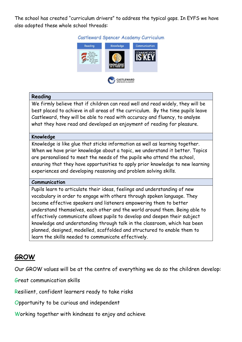The school has created "curriculum drivers" to address the typical gaps. In EYFS we have also adopted these whole school threads:



#### **Reading**

We firmly believe that if children can read well and read widely, they will be best placed to achieve in all areas of the curriculum. By the time pupils leave Castleward, they will be able to read with accuracy and fluency, to analyse what they have read and developed an enjoyment of reading for pleasure.

#### **Knowledge**

Knowledge is like glue that sticks information as well as learning together. When we have prior knowledge about a topic, we understand it better. Topics are personalised to meet the needs of the pupils who attend the school, ensuring that they have opportunities to apply prior knowledge to new learning experiences and developing reasoning and problem solving skills.

#### **Communication**

Pupils learn to articulate their ideas, feelings and understanding of new vocabulary in order to engage with others through spoken language. They become effective speakers and listeners empowering them to better understand themselves, each other and the world around them. Being able to effectively communicate allows pupils to develop and deepen their subject knowledge and understanding through talk in the classroom, which has been planned, designed, modelled, scaffolded and structured to enable them to learn the skills needed to communicate effectively.

# **GROW**

Our GROW values will be at the centre of everything we do so the children develop:

Great communication skills

Resilient, confident learners ready to take risks

Opportunity to be curious and independent

Working together with kindness to enjoy and achieve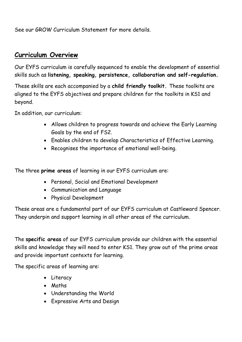See our GROW Curriculum Statement for more details.

# **Curriculum Overview**

Our EYFS curriculum is carefully sequenced to enable the development of essential skills such as **listening, speaking, persistence, collaboration and self-regulation.** 

These skills are each accompanied by a **child friendly toolkit.** These toolkits are aligned to the EYFS objectives and prepare children for the toolkits in KS1 and beyond.

In addition, our curriculum:

- Allows children to progress towards and achieve the Early Learning Goals by the end of FS2.
- Enables children to develop Characteristics of Effective Learning.
- Recognises the importance of emotional well-being.

The three **prime areas** of learning in our EYFS curriculum are:

- Personal, Social and Emotional Development
- Communication and Language
- Physical Development

These areas are a fundamental part of our EYFS curriculum at Castleward Spencer. They underpin and support learning in all other areas of the curriculum.

The **specific areas** of our EYFS curriculum provide our children with the essential skills and knowledge they will need to enter KS1. They grow out of the prime areas and provide important contexts for learning.

The specific areas of learning are:

- Literacy
- Maths
- Understanding the World
- Expressive Arts and Design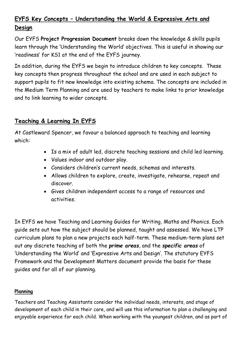# **EYFS Key Concepts – Understanding the World & Expressive Arts and Design**

Our EYFS **Project Progression Document** breaks down the knowledge & skills pupils learn through the 'Understanding the World' objectives. This is useful in showing our 'readiness' for KS1 at the end of the EYFS journey.

In addition, during the EYFS we begin to introduce children to key concepts. These key concepts then progress throughout the school and are used in each subject to support pupils to fit new knowledge into existing schema. The concepts are included in the Medium Term Planning and are used by teachers to make links to prior knowledge and to link learning to wider concepts.

# **Teaching & Learning In EYFS**

At Castleward Spencer, we favour a balanced approach to teaching and learning which:

- Is a mix of adult led, discrete teaching sessions and child led learning.
- Values indoor and outdoor play.
- Considers children's current needs, schemas and interests.
- Allows children to explore, create, investigate, rehearse, repeat and discover.
- Gives children independent access to a range of resources and activities.

In EYFS we have Teaching and Learning Guides for Writing, Maths and Phonics. Each guide sets out how the subject should be planned, taught and assessed. We have LTP curriculum plans to plan a new projects each half-term. These medium-term plans set out any discrete teaching of both the *prime areas*, and the *specific areas* of 'Understanding the World' and 'Expressive Arts and Design'. The statutory EYFS Framework and the Development Matters document provide the basis for these guides and for all of our planning.

## **Planning**

Teachers and Teaching Assistants consider the individual needs, interests, and stage of development of each child in their care, and will use this information to plan a challenging and enjoyable experience for each child. When working with the youngest children, and as part of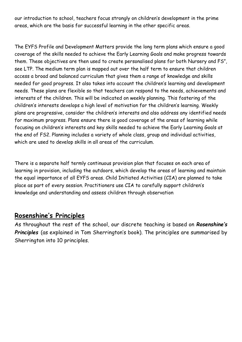our introduction to school, teachers focus strongly on children's development in the prime areas, which are the basis for successful learning in the other specific areas.

The EYFS Profile and Development Matters provide the long term plans which ensure a good coverage of the skills needed to achieve the Early Learning Goals and make progress towards them. These objectives are then used to create personalised plans for both Nursery and FS", see LTP. The medium term plan is mapped out over the half term to ensure that children access a broad and balanced curriculum that gives them a range of knowledge and skills needed for good progress. It also takes into account the children's learning and development needs. These plans are flexible so that teachers can respond to the needs, achievements and interests of the children. This will be indicated on weekly planning. This fostering of the children's interests develops a high level of motivation for the children's learning. Weekly plans are progressive, consider the children's interests and also address any identified needs for maximum progress. Plans ensure there is good coverage of the areas of learning while focusing on children's interests and key skills needed to achieve the Early Learning Goals at the end of FS2. Planning includes a variety of whole class, group and individual activities, which are used to develop skills in all areas of the curriculum.

There is a separate half termly continuous provision plan that focuses on each area of learning in provision, including the outdoors, which develop the areas of learning and maintain the equal importance of all EYFS areas. Child Initiated Activities (CIA) are planned to take place as part of every session. Practitioners use CIA to carefully support children's knowledge and understanding and assess children through observation

# **Rosenshine's Principles**

As throughout the rest of the school, our discrete teaching is based on *Rosenshine's Principles* (as explained in Tom Sherrington's book). The principles are summarised by Sherrington into 10 principles.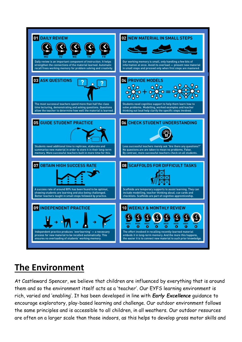

# **The Environment**

At Castleward Spencer, we believe that children are influenced by everything that is around them and so the environment itself acts as a 'teacher'. Our EYFS learning environment is rich, varied and 'enabling'. It has been developed in line with *Early Excellence* guidance to encourage exploratory, play-based learning and challenge. Our outdoor environment follows the same principles and is accessible to all children, in all weathers. Our outdoor resources are often on a larger scale than those indoors, as this helps to develop gross motor skills and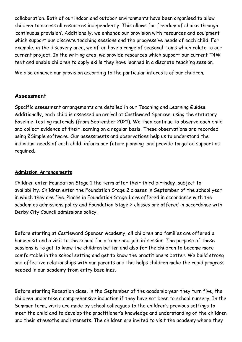collaboration. Both of our indoor and outdoor environments have been organised to allow children to access all resources independently. This allows for freedom of choice through 'continuous provision'. Additionally, we enhance our provision with resources and equipment which support our discrete teaching sessions and the progressive needs of each child. For example, in the discovery area, we often have a range of seasonal items which relate to our current project. In the writing area, we provide resources which support our current T4W text and enable children to apply skills they have learned in a discrete teaching session.

We also enhance our provision according to the particular interests of our children.

## **Assessment**

Specific assessment arrangements are detailed in our Teaching and Learning Guides. Additionally, each child is assessed on arrival at Castleward Spencer, using the statutory Baseline Testing materials (from September 2021). We then continue to observe each child and collect evidence of their learning on a regular basis. These observations are recorded using 2Simple software. Our assessments and observations help us to understand the individual needs of each child, inform our future planning and provide targeted support as required.

#### **Admission Arrangements**

Children enter Foundation Stage 1 the term after their third birthday, subject to availability. Children enter the Foundation Stage 2 classes in September of the school year in which they are five. Places in Foundation Stage 1 are offered in accordance with the academies admissions policy and Foundation Stage 2 classes are offered in accordance with Derby City Council admissions policy.

Before starting at Castleward Spencer Academy, all children and families are offered a home visit and a visit to the school for a 'come and join in' session. The purpose of these sessions is to get to know the children better and also for the children to become more comfortable in the school setting and get to know the practitioners better. We build strong and effective relationships with our parents and this helps children make the rapid progress needed in our academy from entry baselines.

Before starting Reception class, in the September of the academic year they turn five, the children undertake a comprehensive induction if they have not been to school nursery. In the Summer term, visits are made by school colleagues to the children's previous settings to meet the child and to develop the practitioner's knowledge and understanding of the children and their strengths and interests. The children are invited to visit the academy where they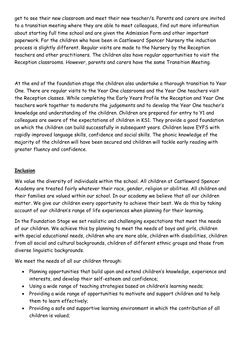get to see their new classroom and meet their new teacher/s. Parents and carers are invited to a transition meeting where they are able to meet colleagues, find out more information about starting full time school and are given the Admission Form and other important paperwork. For the children who have been in Castleward Spencer Nursery the induction process is slightly different. Regular visits are made to the Nursery by the Reception teachers and other practitioners. The children also have regular opportunities to visit the Reception classrooms. However, parents and carers have the same Transition Meeting.

At the end of the foundation stage the children also undertake a thorough transition to Year One. There are regular visits to the Year One classrooms and the Year One teachers visit the Reception classes. While completing the Early Years Profile the Reception and Year One teachers work together to moderate the judgements and to develop the Year One teacher's knowledge and understanding of the children. Children are prepared for entry to Y1 and colleagues are aware of the expectations of children in KS1. They provide a good foundation on which the children can build successfully in subsequent years. Children leave EYFS with rapidly improved language skills, confidence and social skills. The phonic knowledge of the majority of the children will have been secured and children will tackle early reading with greater fluency and confidence.

#### **Inclusion**

We value the diversity of individuals within the school. All children at Castleward Spencer Academy are treated fairly whatever their race, gender, religion or abilities. All children and their families are valued within our school. In our academy we believe that all our children matter. We give our children every opportunity to achieve their best. We do this by taking account of our children's range of life experiences when planning for their learning.

In the Foundation Stage we set realistic and challenging expectations that meet the needs of our children. We achieve this by planning to meet the needs of boys and girls, children with special educational needs, children who are more able, children with disabilities, children from all social and cultural backgrounds, children of different ethnic groups and those from diverse linguistic backgrounds.

We meet the needs of all our children through:

- Planning opportunities that build upon and extend children's knowledge, experience and interests, and develop their self-esteem and confidence;
- Using a wide range of teaching strategies based on children's learning needs;
- Providing a wide range of opportunities to motivate and support children and to help them to learn effectively;
- Providing a safe and supportive learning environment in which the contribution of all children is valued;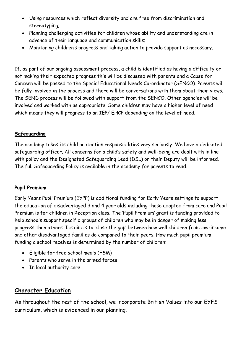- Using resources which reflect diversity and are free from discrimination and stereotyping;
- Planning challenging activities for children whose ability and understanding are in advance of their language and communication skills;
- Monitoring children's progress and taking action to provide support as necessary.

If, as part of our ongoing assessment process, a child is identified as having a difficulty or not making their expected progress this will be discussed with parents and a Cause for Concern will be passed to the Special Educational Needs Co-ordinator (SENCO). Parents will be fully involved in the process and there will be conversations with them about their views. The SEND process will be followed with support from the SENCO. Other agencies will be involved and worked with as appropriate. Some children may have a higher level of need which means they will progress to an IEP/ EHCP depending on the level of need.

#### **Safeguarding**

The academy takes its child protection responsibilities very seriously. We have a dedicated safeguarding officer. All concerns for a child's safety and well-being are dealt with in line with policy and the Designated Safeguarding Lead (DSL) or their Deputy will be informed. The full Safeguarding Policy is available in the academy for parents to read.

#### **Pupil Premium**

Early Years Pupil Premium (EYPP) is additional funding for Early Years settings to support the education of disadvantaged 3 and 4 year olds including those adopted from care and Pupil Premium is for children in Reception class. The 'Pupil Premium' grant is funding provided to help schools support specific groups of children who may be in danger of making less progress than others. Its aim is to 'close the gap' between how well children from low-income and other disadvantaged families do compared to their peers. How much pupil premium funding a school receives is determined by the number of children:

- Eligible for free school meals (FSM)
- Parents who serve in the armed forces
- In local authority care.

# **Character Education**

As throughout the rest of the school, we incorporate British Values into our EYFS curriculum, which is evidenced in our planning.